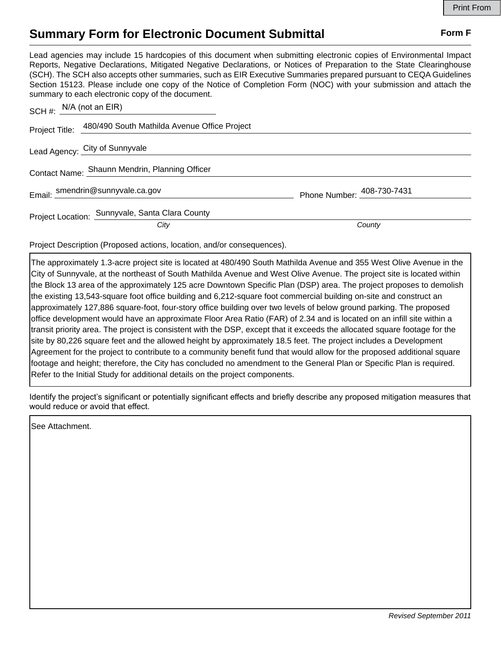## **Summary Form for Electronic Document Submittal Form F Form F**

Lead agencies may include 15 hardcopies of this document when submitting electronic copies of Environmental Impact Reports, Negative Declarations, Mitigated Negative Declarations, or Notices of Preparation to the State Clearinghouse (SCH). The SCH also accepts other summaries, such as EIR Executive Summaries prepared pursuant to CEQA Guidelines Section 15123. Please include one copy of the Notice of Completion Form (NOC) with your submission and attach the summary to each electronic copy of the document.

| SCH #: $N/A$ (not an EIR)      |                                                             |                            |
|--------------------------------|-------------------------------------------------------------|----------------------------|
|                                | Project Title: 480/490 South Mathilda Avenue Office Project |                            |
| Lead Agency: City of Sunnyvale |                                                             |                            |
|                                | Contact Name: Shaunn Mendrin, Planning Officer              |                            |
|                                | Email: smendrin@sunnyvale.ca.gov                            | Phone Number: 408-730-7431 |
|                                | Project Location: Sunnyvale, Santa Clara County             |                            |
|                                | City                                                        | County                     |

Project Description (Proposed actions, location, and/or consequences).

The approximately 1.3-acre project site is located at 480/490 South Mathilda Avenue and 355 West Olive Avenue in the City of Sunnyvale, at the northeast of South Mathilda Avenue and West Olive Avenue. The project site is located within the Block 13 area of the approximately 125 acre Downtown Specific Plan (DSP) area. The project proposes to demolish the existing 13,543-square foot office building and 6,212-square foot commercial building on-site and construct an approximately 127,886 square-foot, four-story office building over two levels of below ground parking. The proposed office development would have an approximate Floor Area Ratio (FAR) of 2.34 and is located on an infill site within a transit priority area. The project is consistent with the DSP, except that it exceeds the allocated square footage for the site by 80,226 square feet and the allowed height by approximately 18.5 feet. The project includes a Development Agreement for the project to contribute to a community benefit fund that would allow for the proposed additional square footage and height; therefore, the City has concluded no amendment to the General Plan or Specific Plan is required. Refer to the Initial Study for additional details on the project components.

Identify the project's significant or potentially significant effects and briefly describe any proposed mitigation measures that would reduce or avoid that effect.

See Attachment.